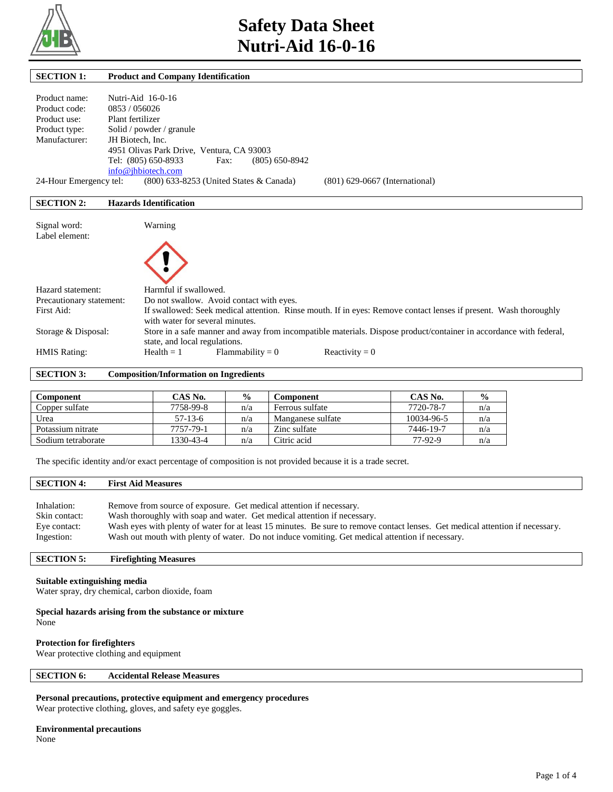

| <b>SECTION 1:</b>                              | <b>Product and Company Identification</b>                                                                                                           |
|------------------------------------------------|-----------------------------------------------------------------------------------------------------------------------------------------------------|
| Product name:<br>Product code:<br>Product use: | Nutri-Aid 16-0-16<br>0853/056026<br>Plant fertilizer                                                                                                |
| Product type:                                  | Solid / powder / granule                                                                                                                            |
| Manufacturer:                                  | JH Biotech, Inc.                                                                                                                                    |
|                                                | 4951 Olivas Park Drive, Ventura, CA 93003                                                                                                           |
|                                                | Tel: (805) 650-8933<br>$(805) 650 - 8942$<br>Fax:                                                                                                   |
|                                                | info@jhbiotech.com                                                                                                                                  |
| 24-Hour Emergency tel:                         | $(800)$ 633-8253 (United States & Canada)<br>$(801)$ 629-0667 (International)                                                                       |
| <b>SECTION 2:</b>                              | <b>Hazards Identification</b>                                                                                                                       |
| Signal word:                                   | Warning                                                                                                                                             |
| Label element:                                 |                                                                                                                                                     |
| Hazard statement:                              | Harmful if swallowed.                                                                                                                               |
| Precautionary statement:                       | Do not swallow. Avoid contact with eyes.                                                                                                            |
| First Aid:                                     | If swallowed: Seek medical attention. Rinse mouth. If in eyes: Remove contact lenses if present. Wash thoroughly<br>with water for several minutes. |
| Storage & Disposal:                            | Store in a safe manner and away from incompatible materials. Dispose product/container in accordance with federal,<br>state, and local regulations. |
| <b>HMIS Rating:</b>                            | Reactivity = $0$<br>$Health = 1$<br>Flammability $= 0$                                                                                              |

**SECTION 3: Composition/Information on Ingredients** 

| Component          | CAS No.   | $\frac{6}{9}$ | Component         | CAS No.    | $\frac{0}{0}$ |
|--------------------|-----------|---------------|-------------------|------------|---------------|
| Copper sulfate     | 7758-99-8 | n/a           | Ferrous sulfate   | 7720-78-7  | n/a           |
| Urea               | $57-13-6$ | n/a           | Manganese sulfate | 10034-96-5 | n/a           |
| Potassium nitrate  | 7757-79-1 | n/a           | Zinc sulfate      | 7446-19-7  | n/a           |
| Sodium tetraborate | 1330-43-4 | n/a           | Citric acid       | 77-92-9    | n/a           |

The specific identity and/or exact percentage of composition is not provided because it is a trade secret.

## **SECTION 4: First Aid Measures**  Inhalation: Remove from source of exposure. Get medical attention if necessary.

| Skin contact: | Wash thoroughly with soap and water. Get medical attention if necessary.                                                      |
|---------------|-------------------------------------------------------------------------------------------------------------------------------|
| Eye contact:  | Wash eyes with plenty of water for at least 15 minutes. Be sure to remove contact lenses. Get medical attention if necessary. |
| Ingestion:    | Wash out mouth with plenty of water. Do not induce vomiting. Get medical attention if necessary.                              |

## **SECTION 5: Firefighting Measures**

#### **Suitable extinguishing media**

Water spray, dry chemical, carbon dioxide, foam

#### **Special hazards arising from the substance or mixture**

None

## **Protection for firefighters**

Wear protective clothing and equipment

## **SECTION 6: Accidental Release Measures**

## **Personal precautions, protective equipment and emergency procedures**

Wear protective clothing, gloves, and safety eye goggles.

## **Environmental precautions**

None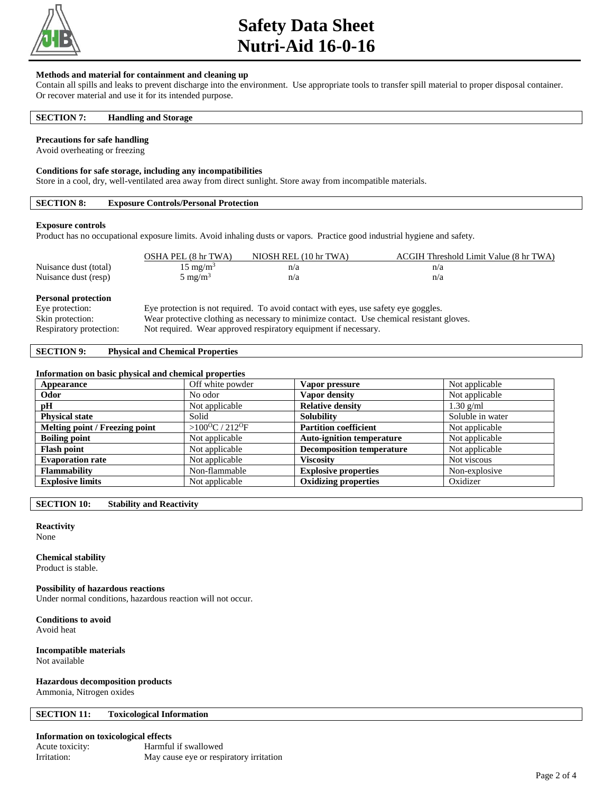

## **Safety Data Sheet Nutri-Aid 16-0-16**

#### **Methods and material for containment and cleaning up**

Contain all spills and leaks to prevent discharge into the environment. Use appropriate tools to transfer spill material to proper disposal container. Or recover material and use it for its intended purpose.

#### **SECTION 7: Handling and Storage**

#### **Precautions for safe handling**

Avoid overheating or freezing

#### **Conditions for safe storage, including any incompatibilities**

Store in a cool, dry, well-ventilated area away from direct sunlight. Store away from incompatible materials.

## **SECTION 8: Exposure Controls/Personal Protection**

#### **Exposure controls**

Product has no occupational exposure limits. Avoid inhaling dusts or vapors. Practice good industrial hygiene and safety.

|                            | OSHA PEL (8 hr TWA)                                                                 | NIOSH REL (10 hr TWA) | ACGIH Threshold Limit Value (8 hr TWA) |  |
|----------------------------|-------------------------------------------------------------------------------------|-----------------------|----------------------------------------|--|
| Nuisance dust (total)      | $15 \text{ mg/m}^3$                                                                 | n/a                   | n/a                                    |  |
| Nuisance dust (resp)       | $5 \text{ mg/m}^3$                                                                  | n/a                   | n/a                                    |  |
| <b>Personal protection</b> |                                                                                     |                       |                                        |  |
| Eye protection:            | Eye protection is not required. To avoid contact with eyes, use safety eye goggles. |                       |                                        |  |

#### Skin protection: Wear protective clothing as necessary to minimize contact. Use chemical resistant gloves.

Respiratory protection: Not required. Wear approved respiratory equipment if necessary.

## **SECTION 9: Physical and Chemical Properties**

#### **Information on basic physical and chemical properties**

| Appearance                     | Off white powder                       | Vapor pressure                   | Not applicable   |
|--------------------------------|----------------------------------------|----------------------------------|------------------|
| Odor                           | No odor                                | Vapor density                    | Not applicable   |
| pH                             | Not applicable                         | <b>Relative density</b>          | $1.30$ g/ml      |
| <b>Physical state</b>          | Solid                                  | <b>Solubility</b>                | Soluble in water |
| Melting point / Freezing point | > $100^{\circ}$ C / 212 <sup>o</sup> F | <b>Partition coefficient</b>     | Not applicable   |
| <b>Boiling point</b>           | Not applicable                         | <b>Auto-ignition temperature</b> | Not applicable   |
| <b>Flash point</b>             | Not applicable                         | <b>Decomposition temperature</b> | Not applicable   |
| <b>Evaporation rate</b>        | Not applicable                         | <b>Viscosity</b>                 | Not viscous      |
| <b>Flammability</b>            | Non-flammable                          | <b>Explosive properties</b>      | Non-explosive    |
| <b>Explosive limits</b>        | Not applicable                         | <b>Oxidizing properties</b>      | Oxidizer         |

**SECTION 10: Stability and Reactivity** 

## **Reactivity**

None

#### **Chemical stability**

Product is stable.

## **Possibility of hazardous reactions**

Under normal conditions, hazardous reaction will not occur.

**Conditions to avoid**

Avoid heat

#### **Incompatible materials** Not available

## **Hazardous decomposition products**

Ammonia, Nitrogen oxides

#### **SECTION 11: Toxicological Information**

#### **Information on toxicological effects**

| Acute toxicity: | Harmful if swallowed                    |
|-----------------|-----------------------------------------|
| Irritation:     | May cause eye or respiratory irritation |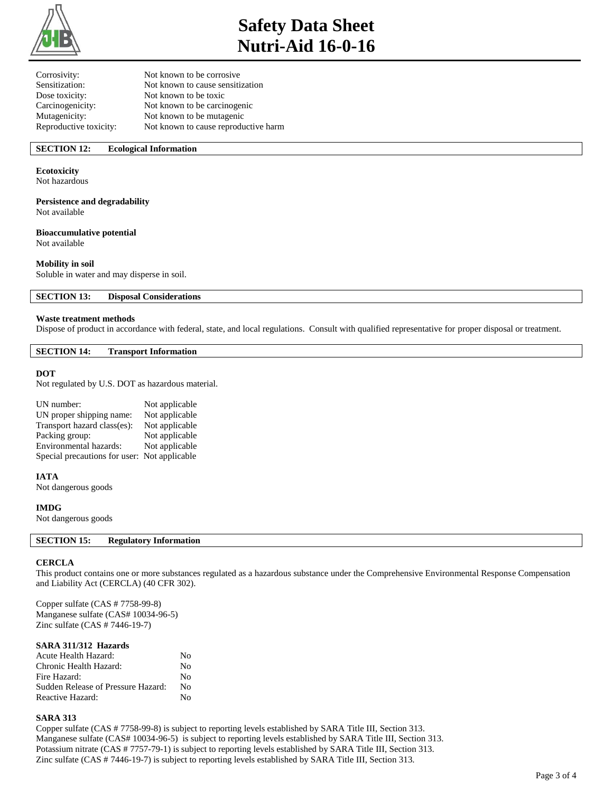

# **Safety Data Sheet Nutri-Aid 16-0-16**

| Not known to be corrosive            |
|--------------------------------------|
| Not known to cause sensitization     |
| Not known to be toxic                |
| Not known to be carcinogenic         |
| Not known to be mutagenic            |
| Not known to cause reproductive harm |
|                                      |

## **SECTION 12: Ecological Information**

## **Ecotoxicity**

Not hazardous

## **Persistence and degradability**

Not available

## **Bioaccumulative potential**

Not available

## **Mobility in soil**

Soluble in water and may disperse in soil.

**SECTION 13: Disposal Considerations** 

#### **Waste treatment methods**

Dispose of product in accordance with federal, state, and local regulations. Consult with qualified representative for proper disposal or treatment.

#### **SECTION 14: Transport Information**

#### **DOT**

Not regulated by U.S. DOT as hazardous material.

| UN number:                                   | Not applicable |
|----------------------------------------------|----------------|
| UN proper shipping name:                     | Not applicable |
| Transport hazard class(es):                  | Not applicable |
| Packing group:                               | Not applicable |
| Environmental hazards:                       | Not applicable |
| Special precautions for user: Not applicable |                |

#### **IATA**

Not dangerous goods

#### **IMDG**

Not dangerous goods

## **SECTION 15: Regulatory Information**

#### **CERCLA**

This product contains one or more substances regulated as a hazardous substance under the Comprehensive Environmental Response Compensation and Liability Act (CERCLA) (40 CFR 302).

Copper sulfate (CAS # 7758-99-8) Manganese sulfate (CAS# 10034-96-5) Zinc sulfate (CAS # 7446-19-7)

#### **SARA 311/312 Hazards**

| Acute Health Hazard:               | Nο |
|------------------------------------|----|
| Chronic Health Hazard:             | No |
| Fire Hazard:                       | Nο |
| Sudden Release of Pressure Hazard: | Nο |
| Reactive Hazard:                   | Nο |

#### **SARA 313**

Copper sulfate (CAS # 7758-99-8) is subject to reporting levels established by SARA Title III, Section 313. Manganese sulfate (CAS# 10034-96-5) is subject to reporting levels established by SARA Title III, Section 313. Potassium nitrate (CAS # 7757-79-1) is subject to reporting levels established by SARA Title III, Section 313. Zinc sulfate (CAS # 7446-19-7) is subject to reporting levels established by SARA Title III, Section 313.